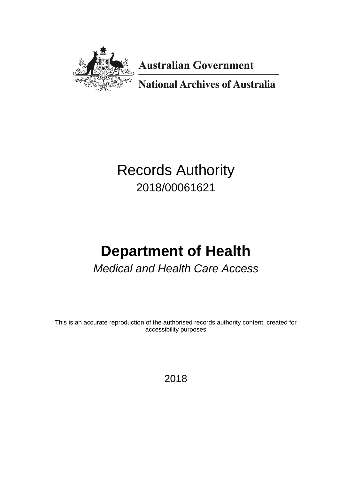

**Australian Government** 

**National Archives of Australia** 

# Records Authority 2018/00061621

# **Department of Health** *Medical and Health Care Access*

This is an accurate reproduction of the authorised records authority content, created for accessibility purposes

2018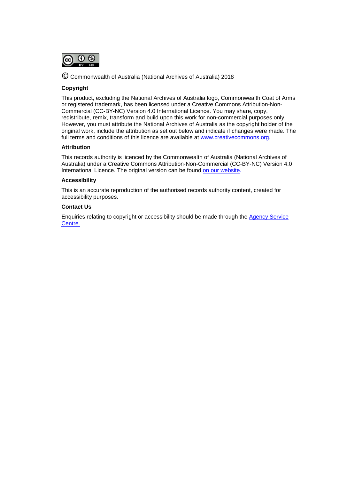

© Commonwealth of Australia (National Archives of Australia) <sup>2018</sup>

### **Copyright**

This product, excluding the National Archives of Australia logo, Commonwealth Coat of Arms or registered trademark, has been licensed under a Creative Commons Attribution-Non-Commercial (CC-BY-NC) Version 4.0 International Licence. You may share, copy, redistribute, remix, transform and build upon this work for non-commercial purposes only. However, you must attribute the National Archives of Australia as the copyright holder of the original work, include the attribution as set out below and indicate if changes were made. The full terms and conditions of this licence are available at [www.creativecommons.org.](http://www.creativecommons.org/)

### **Attribution**

This records authority is licenced by the Commonwealth of Australia (National Archives of Australia) under a Creative Commons Attribution-Non-Commercial (CC-BY-NC) Version 4.0 International Licence. The original version can be found [on our website.](http://www.naa.gov.au/)

### **Accessibility**

This is an accurate reproduction of the authorised records authority content, created for accessibility purposes.

### **Contact Us**

Enquiries relating to copyright or accessibility should be made through the [Agency Service](http://reftracker.naa.gov.au/reft000.aspx?pmi=jpGkKEm4vT)  [Centre.](http://reftracker.naa.gov.au/reft000.aspx?pmi=jpGkKEm4vT)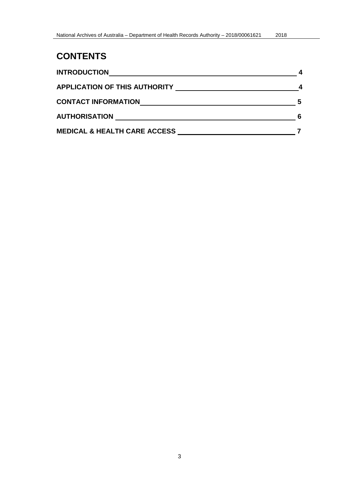# **CONTENTS**

<span id="page-2-0"></span>

| <b>INTRODUCTION</b>                     |   |
|-----------------------------------------|---|
| <b>APPLICATION OF THIS AUTHORITY</b>    |   |
| <b>CONTACT INFORMATION</b>              | 5 |
| <b>AUTHORISATION</b>                    | 6 |
| <b>MEDICAL &amp; HEALTH CARE ACCESS</b> |   |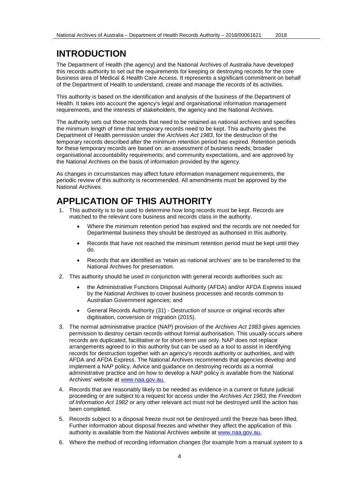# **INTRODUCTION**

The Department of Health (the agency) and the National Archives of Australia have developed this records authority to set out the requirements for keeping or destroying records for the core business area of Medical & Health Care Access. It represents a significant commitment on behalf of the Department of Health to understand, create and manage the records of its activities.

This authority is based on the identification and analysis of the business of the Department of Health. It takes into account the agency's legal and organisational information management requirements, and the interests of stakeholders, the agency and the National Archives.

The authority sets out those records that need to be retained as national archives and specifies the minimum length of time that temporary records need to be kept. This authority gives the Department of Health permission under the *Archives Act 1983*, for the destruction of the temporary records described after the minimum retention period has expired. Retention periods for these temporary records are based on: an assessment of business needs; broader organisational accountability requirements; and community expectations, and are approved by the National Archives on the basis of information provided by the agency.

As changes in circumstances may affect future information management requirements, the periodic review of this authority is recommended. All amendments must be approved by the National Archives.

# <span id="page-3-0"></span>**APPLICATION OF THIS AUTHORITY**

- 1. This authority is to be used to determine how long records must be kept. Records are matched to the relevant core business and records class in the authority.
	- Where the minimum retention period has expired and the records are not needed for Departmental business they should be destroyed as authorised in this authority.
	- Records that have not reached the minimum retention period must be kept until they do.
	- Records that are identified as 'retain as national archives' are to be transferred to the National Archives for preservation.
- 2. This authority should be used in conjunction with general records authorities such as:
	- the Administrative Functions Disposal Authority (AFDA) and/or AFDA Express issued by the National Archives to cover business processes and records common to Australian Government agencies; and
	- General Records Authority (31) Destruction of source or original records after digitisation, conversion or migration (2015).
- 3. The normal administrative practice (NAP) provision of the *Archives Act 1983* gives agencies permission to destroy certain records without formal authorisation. This usually occurs where records are duplicated, facilitative or for short-term use only. NAP does not replace arrangements agreed to in this authority but can be used as a tool to assist in identifying records for destruction together with an agency's records authority or authorities, and with AFDA and AFDA Express. The National Archives recommends that agencies develop and implement a NAP policy. Advice and guidance on destroying records as a normal administrative practice and on how to develop a NAP policy is available from the National Archives' website at [www.naa.gov.au.](http://www.naa.gov.au/)
- 4. Records that are reasonably likely to be needed as evidence in a current or future judicial proceeding or are subject to a request for access under the *Archives Act 1983,* the *Freedom of Information Act 1982* or any other relevant act must not be destroyed until the action has been completed.
- 5. Records subject to a disposal freeze must not be destroyed until the freeze has been lifted. Further information about disposal freezes and whether they affect the application of this authority is available from the National Archives website at [www.naa.gov.au.](http://www.naa.gov.au/)
- 6. Where the method of recording information changes (for example from a manual system to a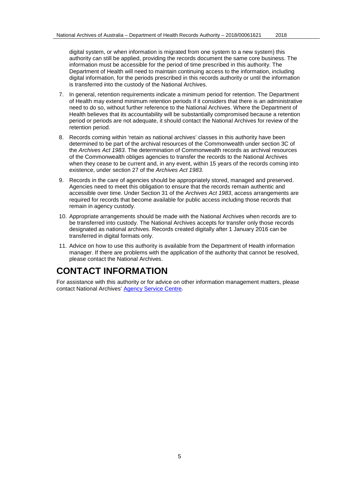digital system, or when information is migrated from one system to a new system) this authority can still be applied, providing the records document the same core business. The information must be accessible for the period of time prescribed in this authority. The Department of Health will need to maintain continuing access to the information, including digital information, for the periods prescribed in this records authority or until the information is transferred into the custody of the National Archives.

- 7. In general, retention requirements indicate a minimum period for retention. The Department of Health may extend minimum retention periods if it considers that there is an administrative need to do so, without further reference to the National Archives. Where the Department of Health believes that its accountability will be substantially compromised because a retention period or periods are not adequate, it should contact the National Archives for review of the retention period.
- 8. Records coming within 'retain as national archives' classes in this authority have been determined to be part of the archival resources of the Commonwealth under section 3C of the *Archives Act 1983*. The determination of Commonwealth records as archival resources of the Commonwealth obliges agencies to transfer the records to the National Archives when they cease to be current and, in any event, within 15 years of the records coming into existence, under section 27 of the *Archives Act 1983*.
- 9. Records in the care of agencies should be appropriately stored, managed and preserved. Agencies need to meet this obligation to ensure that the records remain authentic and accessible over time. Under Section 31 of the *Archives Act 1983*, access arrangements are required for records that become available for public access including those records that remain in agency custody.
- 10. Appropriate arrangements should be made with the National Archives when records are to be transferred into custody. The National Archives accepts for transfer only those records designated as national archives. Records created digitally after 1 January 2016 can be transferred in digital formats only.
- 11. Advice on how to use this authority is available from the Department of Health information manager. If there are problems with the application of the authority that cannot be resolved, please contact the National Archives.

# <span id="page-4-0"></span>**CONTACT INFORMATION**

For assistance with this authority or for advice on other information management matters, please contact National Archives' [Agency Service Centre.](http://www.naa.gov.au/information-management/support/agency-service-centre/index.aspx)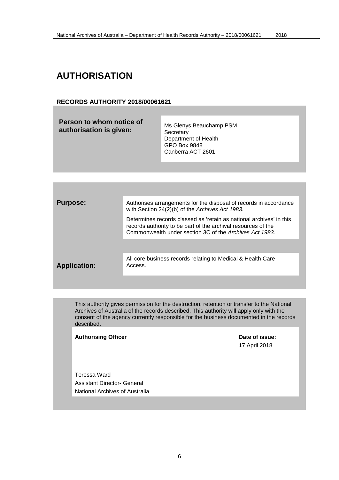# <span id="page-5-0"></span>**AUTHORISATION**

### **RECORDS AUTHORITY 2018/00061621**

| <b>Purpose:</b>     | Authorises arrangements for the disposal of records in accordance<br>with Section 24(2)(b) of the Archives Act 1983.                                                                            |
|---------------------|-------------------------------------------------------------------------------------------------------------------------------------------------------------------------------------------------|
|                     | Determines records classed as 'retain as national archives' in this<br>records authority to be part of the archival resources of the<br>Commonwealth under section 3C of the Archives Act 1983. |
|                     |                                                                                                                                                                                                 |
| <b>Application:</b> | All core business records relating to Medical & Health Care<br>Access.                                                                                                                          |
|                     |                                                                                                                                                                                                 |

This authority gives permission for the destruction, retention or transfer to the National Archives of Australia of the records described. This authority will apply only with the consent of the agency currently responsible for the business documented in the records described.

### Authorising Officer **Contract Contract Contract Contract Contract Contract Contract Contract Contract Contract Contract Contract Contract Contract Contract Contract Contract Contract Contract Contract Contract Contract Con**

17 April 2018

Teressa Ward Assistant Director- General National Archives of Australia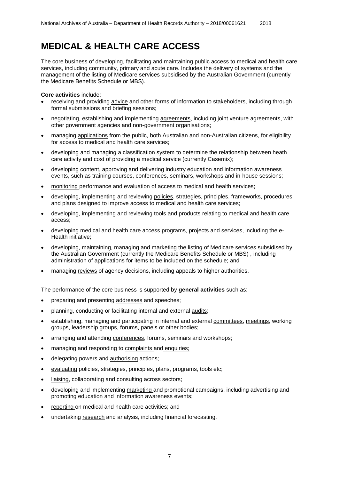<span id="page-6-0"></span>The core business of developing, facilitating and maintaining public access to medical and health care services, including community, primary and acute care. Includes the delivery of systems and the management of the listing of Medicare services subsidised by the Australian Government (currently the Medicare Benefits Schedule or MBS).

### **Core activities** include:

- receiving and providing advice and other forms of information to stakeholders, including through formal submissions and briefing sessions;
- negotiating, establishing and implementing agreements, including joint venture agreements, with other government agencies and non-government organisations;
- managing applications from the public, both Australian and non-Australian citizens, for eligibility for access to medical and health care services;
- developing and managing a classification system to determine the relationship between heath care activity and cost of providing a medical service (currently Casemix);
- developing content, approving and delivering industry education and information awareness events, such as training courses, conferences, seminars, workshops and in-house sessions;
- monitoring performance and evaluation of access to medical and health services;
- developing, implementing and reviewing policies, strategies, principles, frameworks, procedures and plans designed to improve access to medical and health care services;
- developing, implementing and reviewing tools and products relating to medical and health care access;
- developing medical and health care access programs, projects and services, including the e-Health initiative;
- developing, maintaining, managing and marketing the listing of Medicare services subsidised by the Australian Government (currently the Medicare Benefits Schedule or MBS) , including administration of applications for items to be included on the schedule; and
- managing reviews of agency decisions, including appeals to higher authorities.

The performance of the core business is supported by **general activities** such as:

- preparing and presenting addresses and speeches;
- planning, conducting or facilitating internal and external audits;
- establishing, managing and participating in internal and external committees, meetings, working groups, leadership groups, forums, panels or other bodies;
- arranging and attending conferences, forums, seminars and workshops;
- managing and responding to complaints and enquiries;
- delegating powers and authorising actions;
- evaluating policies, strategies, principles, plans, programs, tools etc;
- liaising, collaborating and consulting across sectors;
- developing and implementing marketing and promotional campaigns, including advertising and promoting education and information awareness events;
- reporting on medical and health care activities; and
- undertaking research and analysis, including financial forecasting.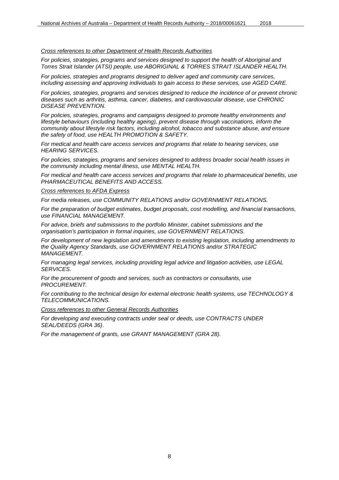### *Cross references to other Department of Health Records Authorities*

*For policies, strategies, programs and services designed to support the health of Aboriginal and Torres Strait Islander (ATSI) people, use ABORIGINAL & TORRES STRAIT ISLANDER HEALTH.*

*For policies, strategies and programs designed to deliver aged and community care services, including assessing and approving individuals to gain access to these services, use AGED CARE.*

*For policies, strategies, programs and services designed to reduce the incidence of or prevent chronic diseases such as arthritis, asthma, cancer, diabetes, and cardiovascular disease, use CHRONIC DISEASE PREVENTION.*

*For policies, strategies, programs and campaigns designed to promote healthy environments and lifestyle behaviours (including healthy ageing), prevent disease through vaccinations, inform the community about lifestyle risk factors, including alcohol, tobacco and substance abuse, and ensure the safety of food, use HEALTH PROMOTION & SAFETY.*

*For medical and health care access services and programs that relate to hearing services, use HEARING SERVICES.*

*For policies, strategies, programs and services designed to address broader social health issues in the community including mental illness, use MENTAL HEALTH.*

*For medical and health care access services and programs that relate to pharmaceutical benefits, use PHARMACEUTICAL BENEFITS AND ACCESS.*

### *Cross references to AFDA Express*

*For media releases, use COMMUNITY RELATIONS and/or GOVERNMENT RELATIONS.*

*For the preparation of budget estimates, budget proposals, cost modelling, and financial transactions, use FINANCIAL MANAGEMENT.*

*For advice, briefs and submissions to the portfolio Minister, cabinet submissions and the organisation's participation in formal inquiries, use GOVERNMENT RELATIONS.*

*For development of new legislation and amendments to existing legislation, including amendments to the Quality Agency Standards, use GOVERNMENT RELATIONS and/or STRATEGIC MANAGEMENT.*

*For managing legal services, including providing legal advice and litigation activities, use LEGAL SERVICES.*

*For the procurement of goods and services, such as contractors or consultants, use PROCUREMENT.* 

*For contributing to the technical design for external electronic health systems, use TECHNOLOGY & TELECOMMUNICATIONS.*

*Cross references to other General Records Authorities*

*For developing and executing contracts under seal or deeds, use CONTRACTS UNDER SEAL/DEEDS (GRA 36)*.

*For the management of grants, use GRANT MANAGEMENT (GRA 28).*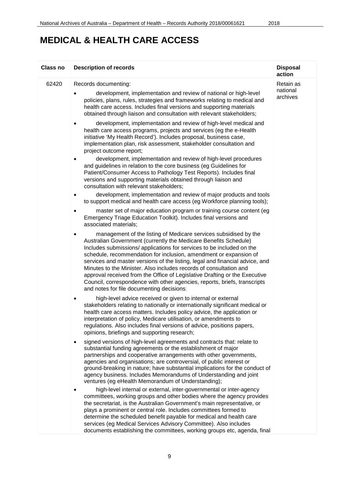| <b>Class no</b> | <b>Description of records</b>                                                                                                                                                                                                                                                                                                                                                                                                                                                                                                                                                                                                                    | <b>Disposal</b><br>action         |
|-----------------|--------------------------------------------------------------------------------------------------------------------------------------------------------------------------------------------------------------------------------------------------------------------------------------------------------------------------------------------------------------------------------------------------------------------------------------------------------------------------------------------------------------------------------------------------------------------------------------------------------------------------------------------------|-----------------------------------|
| 62420           | Records documenting:<br>development, implementation and review of national or high-level<br>policies, plans, rules, strategies and frameworks relating to medical and<br>health care access. Includes final versions and supporting materials<br>obtained through liaison and consultation with relevant stakeholders;                                                                                                                                                                                                                                                                                                                           | Retain as<br>national<br>archives |
|                 | development, implementation and review of high-level medical and<br>٠<br>health care access programs, projects and services (eg the e-Health<br>initiative 'My Health Record'). Includes proposal, business case,<br>implementation plan, risk assessment, stakeholder consultation and<br>project outcome report;                                                                                                                                                                                                                                                                                                                               |                                   |
|                 | development, implementation and review of high-level procedures<br>and guidelines in relation to the core business (eg Guidelines for<br>Patient/Consumer Access to Pathology Test Reports). Includes final<br>versions and supporting materials obtained through liaison and<br>consultation with relevant stakeholders;                                                                                                                                                                                                                                                                                                                        |                                   |
|                 | development, implementation and review of major products and tools<br>٠<br>to support medical and health care access (eg Workforce planning tools);                                                                                                                                                                                                                                                                                                                                                                                                                                                                                              |                                   |
|                 | master set of major education program or training course content (eg<br>Emergency Triage Education Toolkit). Includes final versions and<br>associated materials;                                                                                                                                                                                                                                                                                                                                                                                                                                                                                |                                   |
|                 | management of the listing of Medicare services subsidised by the<br>Australian Government (currently the Medicare Benefits Schedule)<br>Includes submissions/ applications for services to be included on the<br>schedule, recommendation for inclusion, amendment or expansion of<br>services and master versions of the listing, legal and financial advice, and<br>Minutes to the Minister. Also includes records of consultation and<br>approval received from the Office of Legislative Drafting or the Executive<br>Council, correspondence with other agencies, reports, briefs, transcripts<br>and notes for file documenting decisions; |                                   |
|                 | high-level advice received or given to internal or external<br>٠<br>stakeholders relating to nationally or internationally significant medical or<br>health care access matters. Includes policy advice, the application or<br>interpretation of policy, Medicare utilisation, or amendments to<br>regulations. Also includes final versions of advice, positions papers,<br>opinions, briefings and supporting research;                                                                                                                                                                                                                        |                                   |
|                 | signed versions of high-level agreements and contracts that: relate to<br>٠<br>substantial funding agreements or the establishment of major<br>partnerships and cooperative arrangements with other governments,<br>agencies and organisations; are controversial, of public interest or<br>ground-breaking in nature; have substantial implications for the conduct of<br>agency business. Includes Memorandums of Understanding and joint<br>ventures (eg eHealth Memorandum of Understanding);                                                                                                                                                |                                   |
|                 | high-level internal or external, inter-governmental or inter-agency<br>committees, working groups and other bodies where the agency provides<br>the secretariat, is the Australian Government's main representative, or<br>plays a prominent or central role. Includes committees formed to<br>determine the scheduled benefit payable for medical and health care<br>services (eg Medical Services Advisory Committee). Also includes<br>documents establishing the committees, working groups etc, agenda, final                                                                                                                               |                                   |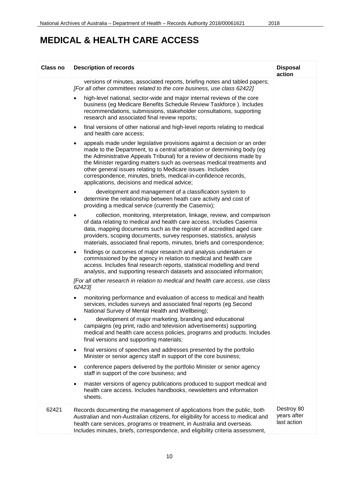| Class no | <b>Description of records</b>                                                                                                                                                                                                                                                                                                                                                                                                                                                                         | <b>Disposal</b><br>action                |
|----------|-------------------------------------------------------------------------------------------------------------------------------------------------------------------------------------------------------------------------------------------------------------------------------------------------------------------------------------------------------------------------------------------------------------------------------------------------------------------------------------------------------|------------------------------------------|
|          | versions of minutes, associated reports, briefing notes and tabled papers;<br>[For all other committees related to the core business, use class 62422]                                                                                                                                                                                                                                                                                                                                                |                                          |
|          | high-level national, sector-wide and major internal reviews of the core<br>$\bullet$<br>business (eg Medicare Benefits Schedule Review Taskforce). Includes<br>recommendations, submissions, stakeholder consultations, supporting<br>research and associated final review reports;                                                                                                                                                                                                                   |                                          |
|          | final versions of other national and high-level reports relating to medical<br>$\bullet$<br>and health care access;                                                                                                                                                                                                                                                                                                                                                                                   |                                          |
|          | appeals made under legislative provisions against a decision or an order<br>$\bullet$<br>made to the Department, to a central arbitration or determining body (eg<br>the Administrative Appeals Tribunal) for a review of decisions made by<br>the Minister regarding matters such as overseas medical treatments and<br>other general issues relating to Medicare issues. Includes<br>correspondence, minutes, briefs, medical-in-confidence records,<br>applications, decisions and medical advice; |                                          |
|          | development and management of a classification system to<br>determine the relationship between heath care activity and cost of<br>providing a medical service (currently the Casemix);                                                                                                                                                                                                                                                                                                                |                                          |
|          | collection, monitoring, interpretation, linkage, review, and comparison<br>of data relating to medical and health care access. Includes Casemix<br>data, mapping documents such as the register of accredited aged care<br>providers, scoping documents, survey responses, statistics, analysis<br>materials, associated final reports, minutes, briefs and correspondence;                                                                                                                           |                                          |
|          | findings or outcomes of major research and analysis undertaken or<br>$\bullet$<br>commissioned by the agency in relation to medical and health care<br>access. Includes final research reports, statistical modelling and trend<br>analysis, and supporting research datasets and associated information;                                                                                                                                                                                             |                                          |
|          | [For all other research in relation to medical and health care access, use class<br>62423]                                                                                                                                                                                                                                                                                                                                                                                                            |                                          |
|          | monitoring performance and evaluation of access to medical and health<br>services, includes surveys and associated final reports (eg Second<br>National Survey of Mental Health and Wellbeing);                                                                                                                                                                                                                                                                                                       |                                          |
|          | development of major marketing, branding and educational<br>campaigns (eg print, radio and television advertisements) supporting<br>medical and health care access policies, programs and products. Includes<br>final versions and supporting materials;                                                                                                                                                                                                                                              |                                          |
|          | final versions of speeches and addresses presented by the portfolio<br>$\bullet$<br>Minister or senior agency staff in support of the core business;                                                                                                                                                                                                                                                                                                                                                  |                                          |
|          | conference papers delivered by the portfolio Minister or senior agency<br>$\bullet$<br>staff in support of the core business; and                                                                                                                                                                                                                                                                                                                                                                     |                                          |
|          | master versions of agency publications produced to support medical and<br>$\bullet$<br>health care access. Includes handbooks, newsletters and information<br>sheets.                                                                                                                                                                                                                                                                                                                                 |                                          |
| 62421    | Records documenting the management of applications from the public, both<br>Australian and non-Australian citizens, for eligibility for access to medical and<br>health care services, programs or treatment, in Australia and overseas.<br>Includes minutes, briefs, correspondence, and eligibility criteria assessment,                                                                                                                                                                            | Destroy 80<br>years after<br>last action |